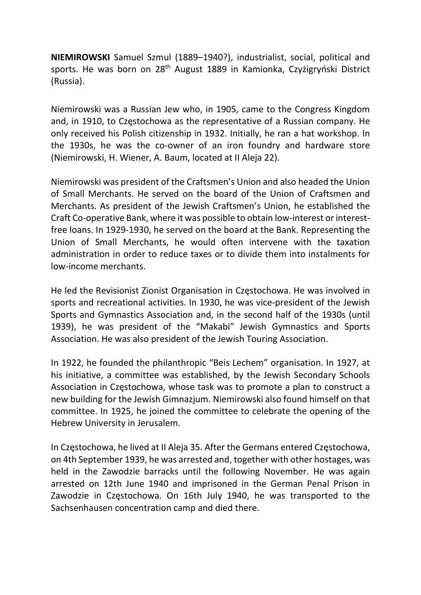NIEMIROWSKI Samuel Szmul (1889–1940?), industrialist, social, political and sports. He was born on 28<sup>th</sup> August 1889 in Kamionka, Czyżigryński District (Russia).

Niemirowski was a Russian Jew who, in 1905, came to the Congress Kingdom and, in 1910, to Częstochowa as the representative of a Russian company. He only received his Polish citizenship in 1932. Initially, he ran a hat workshop. In the 1930s, he was the co-owner of an iron foundry and hardware store (Niemirowski, H. Wiener, A. Baum, located at II Aleja 22).

Niemirowski was president of the Craftsmen's Union and also headed the Union of Small Merchants. He served on the board of the Union of Craftsmen and Merchants. As president of the Jewish Craftsmen's Union, he established the Craft Co-operative Bank, where it was possible to obtain low-interest or interestfree loans. In 1929-1930, he served on the board at the Bank. Representing the Union of Small Merchants, he would often intervene with the taxation administration in order to reduce taxes or to divide them into instalments for low-income merchants.

He led the Revisionist Zionist Organisation in Częstochowa. He was involved in sports and recreational activities. In 1930, he was vice-president of the Jewish Sports and Gymnastics Association and, in the second half of the 1930s (until 1939), he was president of the "Makabi" Jewish Gymnastics and Sports Association. He was also president of the Jewish Touring Association.

In 1922, he founded the philanthropic "Beis Lechem" organisation. In 1927, at his initiative, a committee was established, by the Jewish Secondary Schools Association in Częstochowa, whose task was to promote a plan to construct a new building for the Jewish Gimnazjum. Niemirowski also found himself on that committee. In 1925, he joined the committee to celebrate the opening of the Hebrew University in Jerusalem.

In Częstochowa, he lived at II Aleja 35. After the Germans entered Częstochowa, on 4th September 1939, he was arrested and, together with other hostages, was held in the Zawodzie barracks until the following November. He was again arrested on 12th June 1940 and imprisoned in the German Penal Prison in Zawodzie in Częstochowa. On 16th July 1940, he was transported to the Sachsenhausen concentration camp and died there.